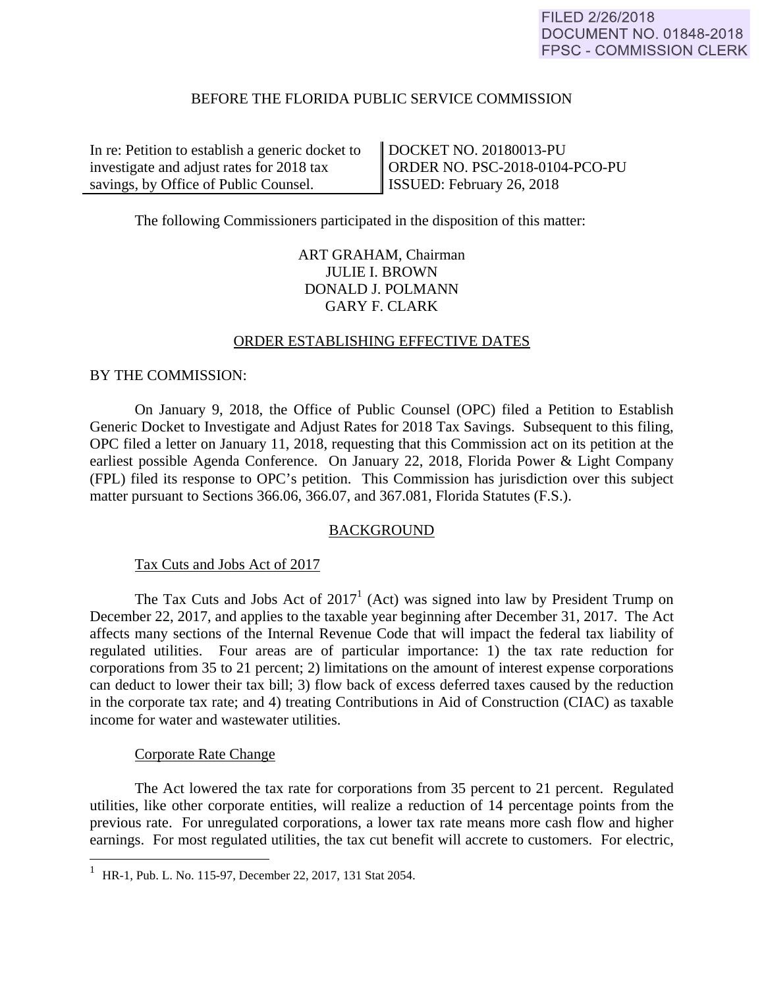## BEFORE THE FLORIDA PUBLIC SERVICE COMMISSION

In re: Petition to establish a generic docket to investigate and adjust rates for 2018 tax savings, by Office of Public Counsel.

DOCKET NO. 20180013-PU ORDER NO. PSC-2018-0104-PCO-PU ISSUED: February 26, 2018

The following Commissioners participated in the disposition of this matter:

# ART GRAHAM, Chairman JULIE I. BROWN DONALD J. POLMANN GARY F. CLARK

#### ORDER ESTABLISHING EFFECTIVE DATES

BY THE COMMISSION:

 On January 9, 2018, the Office of Public Counsel (OPC) filed a Petition to Establish Generic Docket to Investigate and Adjust Rates for 2018 Tax Savings. Subsequent to this filing, OPC filed a letter on January 11, 2018, requesting that this Commission act on its petition at the earliest possible Agenda Conference. On January 22, 2018, Florida Power & Light Company (FPL) filed its response to OPC's petition. This Commission has jurisdiction over this subject matter pursuant to Sections 366.06, 366.07, and 367.081, Florida Statutes (F.S.).

## **BACKGROUND**

Tax Cuts and Jobs Act of 2017

The Tax Cuts and Jobs Act of  $2017<sup>1</sup>$  (Act) was signed into law by President Trump on December 22, 2017, and applies to the taxable year beginning after December 31, 2017. The Act affects many sections of the Internal Revenue Code that will impact the federal tax liability of regulated utilities. Four areas are of particular importance: 1) the tax rate reduction for corporations from 35 to 21 percent; 2) limitations on the amount of interest expense corporations can deduct to lower their tax bill; 3) flow back of excess deferred taxes caused by the reduction in the corporate tax rate; and 4) treating Contributions in Aid of Construction (CIAC) as taxable income for water and wastewater utilities.

#### Corporate Rate Change

 The Act lowered the tax rate for corporations from 35 percent to 21 percent. Regulated utilities, like other corporate entities, will realize a reduction of 14 percentage points from the previous rate. For unregulated corporations, a lower tax rate means more cash flow and higher earnings. For most regulated utilities, the tax cut benefit will accrete to customers. For electric,

 1 HR-1, Pub. L. No. 115-97, December 22, 2017, 131 Stat 2054.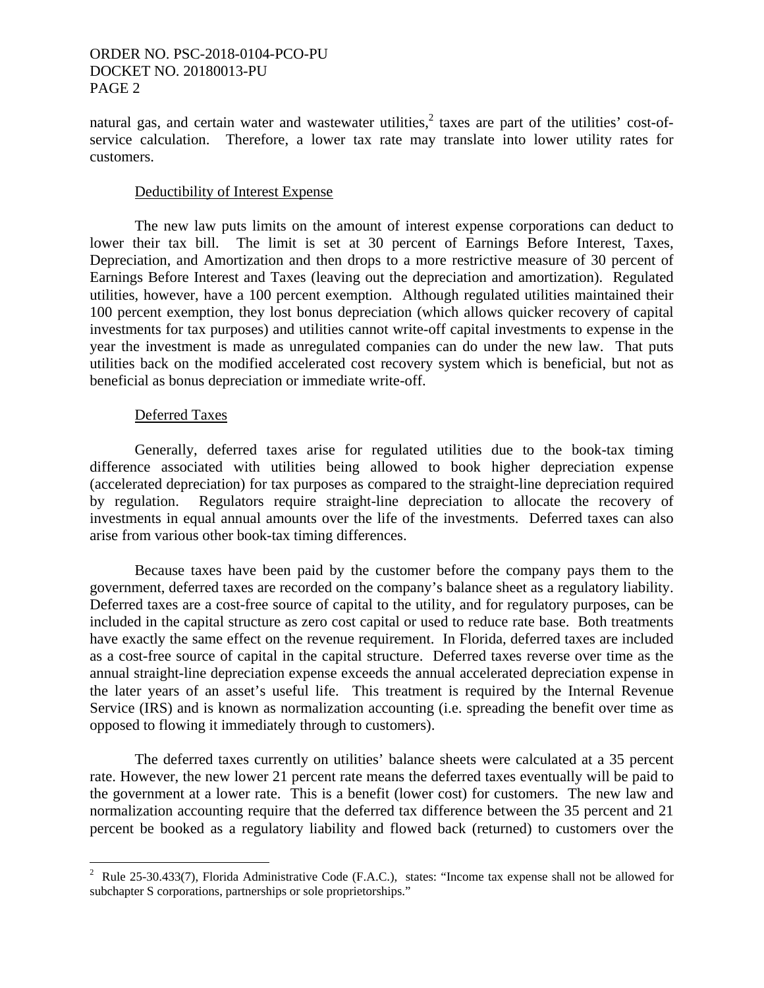natural gas, and certain water and wastewater utilities,<sup>2</sup> taxes are part of the utilities' cost-ofservice calculation. Therefore, a lower tax rate may translate into lower utility rates for customers.

#### Deductibility of Interest Expense

 The new law puts limits on the amount of interest expense corporations can deduct to lower their tax bill. The limit is set at 30 percent of Earnings Before Interest, Taxes, Depreciation, and Amortization and then drops to a more restrictive measure of 30 percent of Earnings Before Interest and Taxes (leaving out the depreciation and amortization). Regulated utilities, however, have a 100 percent exemption. Although regulated utilities maintained their 100 percent exemption, they lost bonus depreciation (which allows quicker recovery of capital investments for tax purposes) and utilities cannot write-off capital investments to expense in the year the investment is made as unregulated companies can do under the new law. That puts utilities back on the modified accelerated cost recovery system which is beneficial, but not as beneficial as bonus depreciation or immediate write-off.

#### Deferred Taxes

 Generally, deferred taxes arise for regulated utilities due to the book-tax timing difference associated with utilities being allowed to book higher depreciation expense (accelerated depreciation) for tax purposes as compared to the straight-line depreciation required by regulation. Regulators require straight-line depreciation to allocate the recovery of investments in equal annual amounts over the life of the investments. Deferred taxes can also arise from various other book-tax timing differences.

 Because taxes have been paid by the customer before the company pays them to the government, deferred taxes are recorded on the company's balance sheet as a regulatory liability. Deferred taxes are a cost-free source of capital to the utility, and for regulatory purposes, can be included in the capital structure as zero cost capital or used to reduce rate base. Both treatments have exactly the same effect on the revenue requirement. In Florida, deferred taxes are included as a cost-free source of capital in the capital structure. Deferred taxes reverse over time as the annual straight-line depreciation expense exceeds the annual accelerated depreciation expense in the later years of an asset's useful life. This treatment is required by the Internal Revenue Service (IRS) and is known as normalization accounting (i.e. spreading the benefit over time as opposed to flowing it immediately through to customers).

 The deferred taxes currently on utilities' balance sheets were calculated at a 35 percent rate. However, the new lower 21 percent rate means the deferred taxes eventually will be paid to the government at a lower rate. This is a benefit (lower cost) for customers. The new law and normalization accounting require that the deferred tax difference between the 35 percent and 21 percent be booked as a regulatory liability and flowed back (returned) to customers over the

 2 Rule 25-30.433(7), Florida Administrative Code (F.A.C.), states: "Income tax expense shall not be allowed for subchapter S corporations, partnerships or sole proprietorships."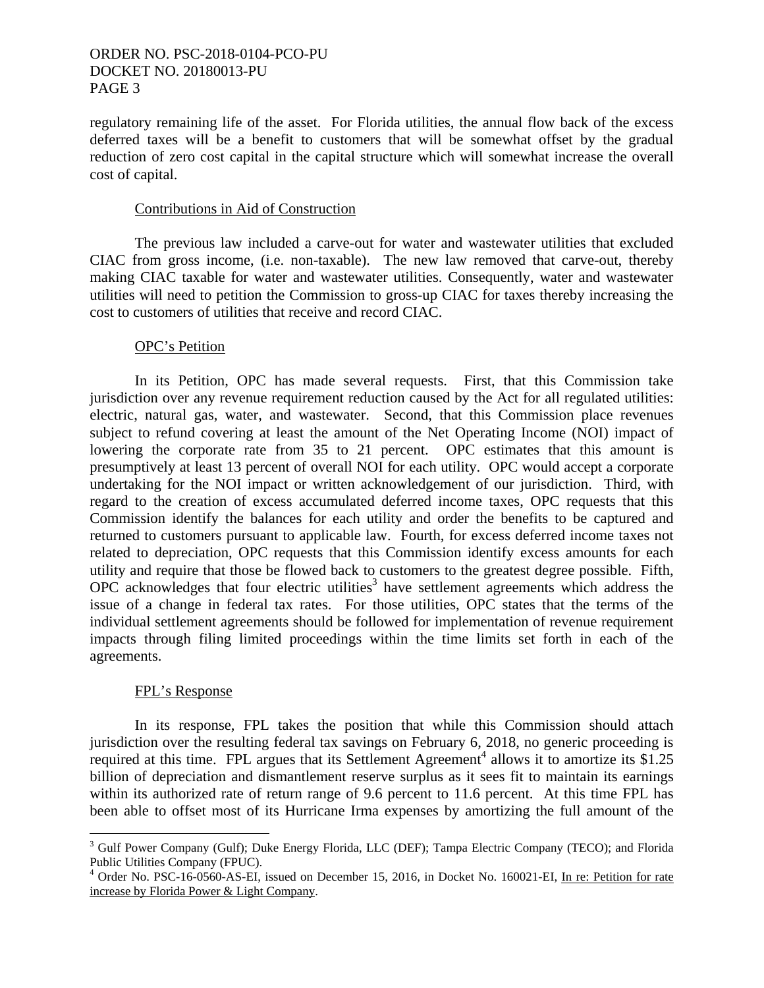regulatory remaining life of the asset. For Florida utilities, the annual flow back of the excess deferred taxes will be a benefit to customers that will be somewhat offset by the gradual reduction of zero cost capital in the capital structure which will somewhat increase the overall cost of capital.

#### Contributions in Aid of Construction

 The previous law included a carve-out for water and wastewater utilities that excluded CIAC from gross income, (i.e. non-taxable). The new law removed that carve-out, thereby making CIAC taxable for water and wastewater utilities. Consequently, water and wastewater utilities will need to petition the Commission to gross-up CIAC for taxes thereby increasing the cost to customers of utilities that receive and record CIAC.

## OPC's Petition

 In its Petition, OPC has made several requests. First, that this Commission take jurisdiction over any revenue requirement reduction caused by the Act for all regulated utilities: electric, natural gas, water, and wastewater. Second, that this Commission place revenues subject to refund covering at least the amount of the Net Operating Income (NOI) impact of lowering the corporate rate from 35 to 21 percent. OPC estimates that this amount is presumptively at least 13 percent of overall NOI for each utility. OPC would accept a corporate undertaking for the NOI impact or written acknowledgement of our jurisdiction. Third, with regard to the creation of excess accumulated deferred income taxes, OPC requests that this Commission identify the balances for each utility and order the benefits to be captured and returned to customers pursuant to applicable law. Fourth, for excess deferred income taxes not related to depreciation, OPC requests that this Commission identify excess amounts for each utility and require that those be flowed back to customers to the greatest degree possible. Fifth, OPC acknowledges that four electric utilities<sup>3</sup> have settlement agreements which address the issue of a change in federal tax rates. For those utilities, OPC states that the terms of the individual settlement agreements should be followed for implementation of revenue requirement impacts through filing limited proceedings within the time limits set forth in each of the agreements.

## FPL's Response

 $\overline{a}$ 

 In its response, FPL takes the position that while this Commission should attach jurisdiction over the resulting federal tax savings on February 6, 2018, no generic proceeding is required at this time. FPL argues that its Settlement Agreement<sup>4</sup> allows it to amortize its \$1.25 billion of depreciation and dismantlement reserve surplus as it sees fit to maintain its earnings within its authorized rate of return range of 9.6 percent to 11.6 percent. At this time FPL has been able to offset most of its Hurricane Irma expenses by amortizing the full amount of the

<sup>&</sup>lt;sup>3</sup> Gulf Power Company (Gulf); Duke Energy Florida, LLC (DEF); Tampa Electric Company (TECO); and Florida Public Utilities Company (FPUC).

<sup>&</sup>lt;sup>4</sup> Order No. PSC-16-0560-AS-EI, issued on December 15, 2016, in Docket No. 160021-EI, In re: Petition for rate increase by Florida Power & Light Company.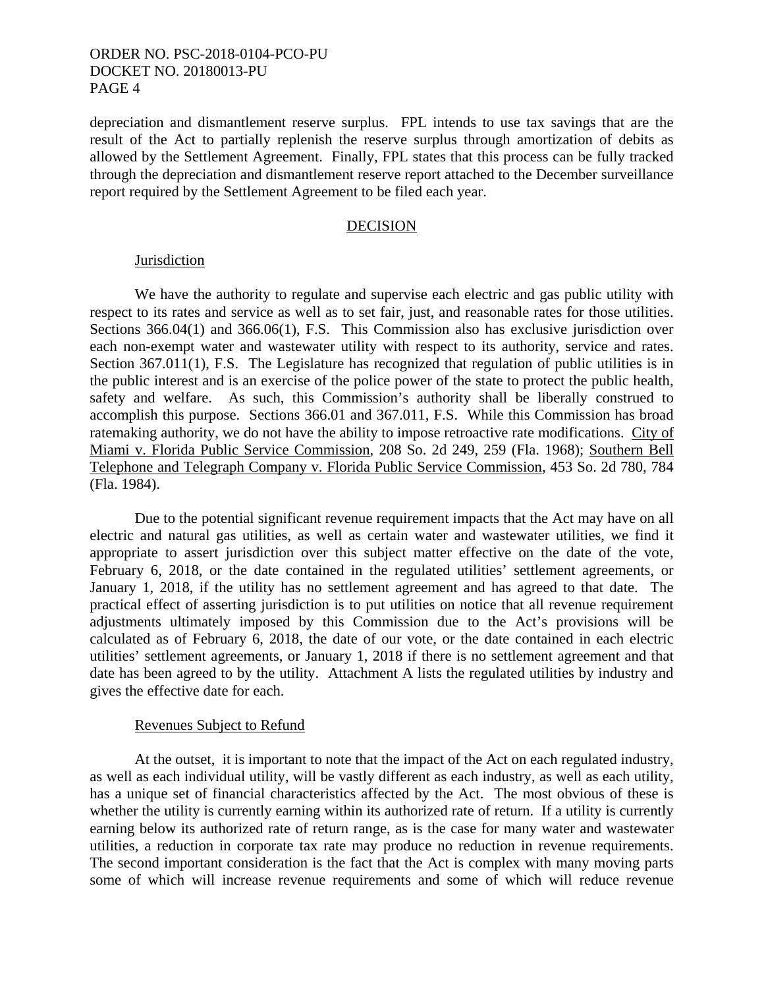depreciation and dismantlement reserve surplus. FPL intends to use tax savings that are the result of the Act to partially replenish the reserve surplus through amortization of debits as allowed by the Settlement Agreement. Finally, FPL states that this process can be fully tracked through the depreciation and dismantlement reserve report attached to the December surveillance report required by the Settlement Agreement to be filed each year.

#### DECISION

#### Jurisdiction

 We have the authority to regulate and supervise each electric and gas public utility with respect to its rates and service as well as to set fair, just, and reasonable rates for those utilities. Sections 366.04(1) and 366.06(1), F.S. This Commission also has exclusive jurisdiction over each non-exempt water and wastewater utility with respect to its authority, service and rates. Section 367.011(1), F.S. The Legislature has recognized that regulation of public utilities is in the public interest and is an exercise of the police power of the state to protect the public health, safety and welfare. As such, this Commission's authority shall be liberally construed to accomplish this purpose. Sections 366.01 and 367.011, F.S. While this Commission has broad ratemaking authority, we do not have the ability to impose retroactive rate modifications. City of Miami v. Florida Public Service Commission, 208 So. 2d 249, 259 (Fla. 1968); Southern Bell Telephone and Telegraph Company v. Florida Public Service Commission, 453 So. 2d 780, 784 (Fla. 1984).

 Due to the potential significant revenue requirement impacts that the Act may have on all electric and natural gas utilities, as well as certain water and wastewater utilities, we find it appropriate to assert jurisdiction over this subject matter effective on the date of the vote, February 6, 2018, or the date contained in the regulated utilities' settlement agreements, or January 1, 2018, if the utility has no settlement agreement and has agreed to that date. The practical effect of asserting jurisdiction is to put utilities on notice that all revenue requirement adjustments ultimately imposed by this Commission due to the Act's provisions will be calculated as of February 6, 2018, the date of our vote, or the date contained in each electric utilities' settlement agreements, or January 1, 2018 if there is no settlement agreement and that date has been agreed to by the utility. Attachment A lists the regulated utilities by industry and gives the effective date for each.

#### Revenues Subject to Refund

 At the outset, it is important to note that the impact of the Act on each regulated industry, as well as each individual utility, will be vastly different as each industry, as well as each utility, has a unique set of financial characteristics affected by the Act. The most obvious of these is whether the utility is currently earning within its authorized rate of return. If a utility is currently earning below its authorized rate of return range, as is the case for many water and wastewater utilities, a reduction in corporate tax rate may produce no reduction in revenue requirements. The second important consideration is the fact that the Act is complex with many moving parts some of which will increase revenue requirements and some of which will reduce revenue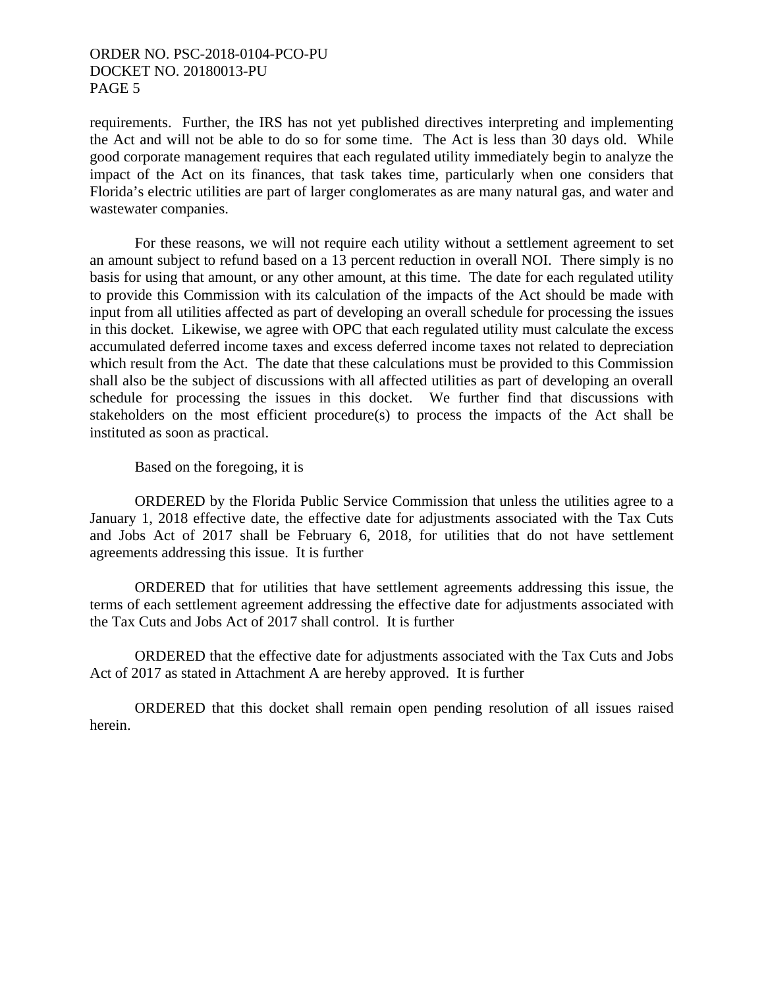requirements. Further, the IRS has not yet published directives interpreting and implementing the Act and will not be able to do so for some time. The Act is less than 30 days old. While good corporate management requires that each regulated utility immediately begin to analyze the impact of the Act on its finances, that task takes time, particularly when one considers that Florida's electric utilities are part of larger conglomerates as are many natural gas, and water and wastewater companies.

 For these reasons, we will not require each utility without a settlement agreement to set an amount subject to refund based on a 13 percent reduction in overall NOI. There simply is no basis for using that amount, or any other amount, at this time. The date for each regulated utility to provide this Commission with its calculation of the impacts of the Act should be made with input from all utilities affected as part of developing an overall schedule for processing the issues in this docket. Likewise, we agree with OPC that each regulated utility must calculate the excess accumulated deferred income taxes and excess deferred income taxes not related to depreciation which result from the Act. The date that these calculations must be provided to this Commission shall also be the subject of discussions with all affected utilities as part of developing an overall schedule for processing the issues in this docket. We further find that discussions with stakeholders on the most efficient procedure(s) to process the impacts of the Act shall be instituted as soon as practical.

Based on the foregoing, it is

 ORDERED by the Florida Public Service Commission that unless the utilities agree to a January 1, 2018 effective date, the effective date for adjustments associated with the Tax Cuts and Jobs Act of 2017 shall be February 6, 2018, for utilities that do not have settlement agreements addressing this issue. It is further

 ORDERED that for utilities that have settlement agreements addressing this issue, the terms of each settlement agreement addressing the effective date for adjustments associated with the Tax Cuts and Jobs Act of 2017 shall control. It is further

 ORDERED that the effective date for adjustments associated with the Tax Cuts and Jobs Act of 2017 as stated in Attachment A are hereby approved. It is further

 ORDERED that this docket shall remain open pending resolution of all issues raised herein.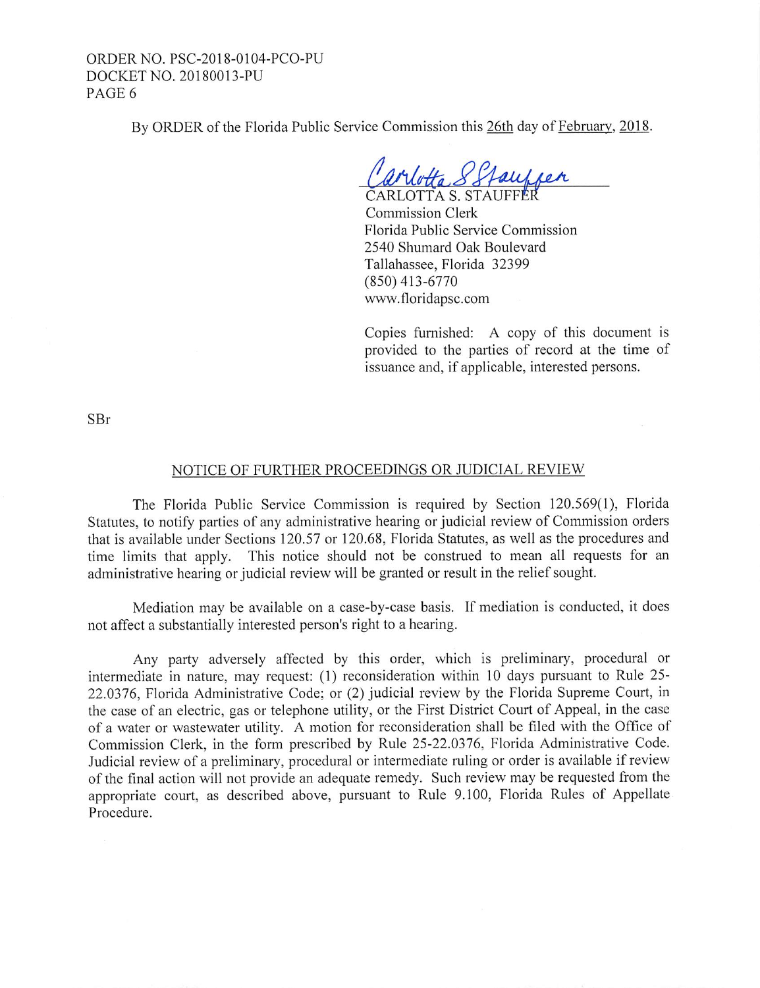By ORDER of the Florida Public Service Commission this 26th day of February, 2018.

arvotta 8 Stauffer

Commission Clerk Florida Public Service Commission 2540 Shumard Oak Boulevard Tallahassee, Florida 32399 (850) 413-6770 www.floridapsc.com

Copies furnished: A copy of this document is provided to the parties of record at the time of issuance and, if applicable, interested persons.

SBr

#### NOTICE OF FURTHER PROCEEDINGS OR JUDICIAL REVIEW

The Florida Public Service Commission is required by Section 120.569(1), Florida Statutes, to notify parties of any administrative hearing or judicial review of Commission orders that is available under Sections 120.57 or 120.68, Florida Statutes, as well as the procedures and time limits that apply. This notice should not be construed to mean all requests for an administrative hearing or judicial review will be granted or result in the relief sought.

Mediation may be available on a case-by-case basis. If mediation is conducted, it does not affect a substantially interested person's right to a hearing.

Any party adversely affected by this order, which is preliminary, procedural or intermediate in nature, may request: (1) reconsideration within 10 days pursuant to Rule 25-22.0376, Florida Administrative Code; or (2) judicial review by the Florida Supreme Court, in the case of an electric, gas or telephone utility, or the First District Court of Appeal, in the case of a water or wastewater utility. A motion for reconsideration shall be filed with the Office of Commission Clerk, in the form prescribed by Rule 25-22.0376, Florida Administrative Code. Judicial review of a preliminary, procedural or intermediate ruling or order is available if review of the final action will not provide an adequate remedy. Such review may be requested from the appropriate court, as described above, pursuant to Rule 9.100, Florida Rules of Appellate Procedure.